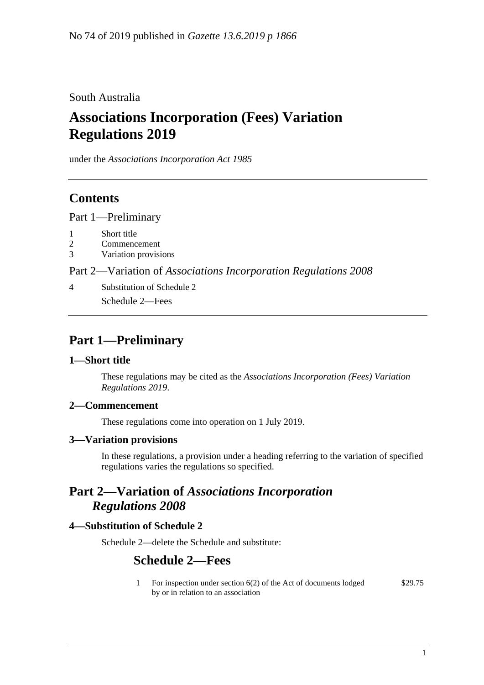South Australia

# **Associations Incorporation (Fees) Variation Regulations 2019**

under the *Associations Incorporation Act 1985*

## **Contents**

Part [1—Preliminary](#page-0-0)

- 1 [Short title](#page-0-1)
- 2 [Commencement](#page-0-2)
- 3 [Variation provisions](#page-0-3)

Part 2—Variation of *[Associations Incorporation Regulations](#page-0-4) 2008*

4 [Substitution of Schedule 2](#page-0-5) Schedule 2—Fees

## <span id="page-0-0"></span>**Part 1—Preliminary**

## <span id="page-0-1"></span>**1—Short title**

These regulations may be cited as the *Associations Incorporation (Fees) Variation Regulations 2019*.

## <span id="page-0-2"></span>**2—Commencement**

These regulations come into operation on 1 July 2019.

#### <span id="page-0-3"></span>**3—Variation provisions**

In these regulations, a provision under a heading referring to the variation of specified regulations varies the regulations so specified.

## <span id="page-0-4"></span>**Part 2—Variation of** *Associations Incorporation Regulations 2008*

## <span id="page-0-5"></span>**4—Substitution of Schedule 2**

Schedule 2—delete the Schedule and substitute:

## **Schedule 2—Fees**

1 For inspection under section 6(2) of the Act of documents lodged by or in relation to an association \$29.75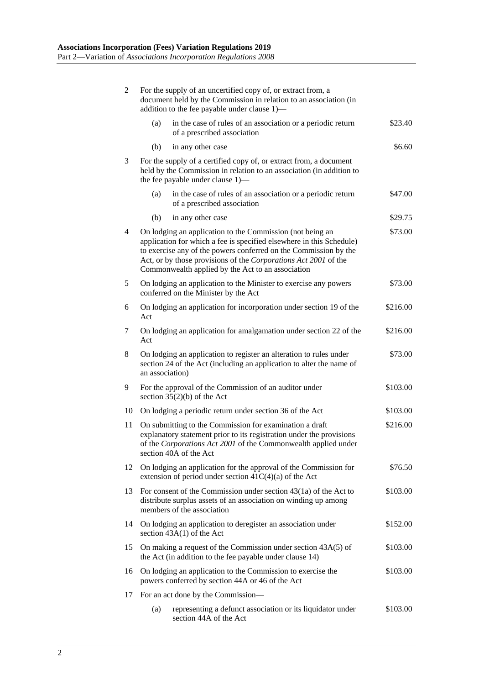| $\overline{c}$ | For the supply of an uncertified copy of, or extract from, a<br>document held by the Commission in relation to an association (in<br>addition to the fee payable under clause 1)-                                                                                                                                                        |          |  |
|----------------|------------------------------------------------------------------------------------------------------------------------------------------------------------------------------------------------------------------------------------------------------------------------------------------------------------------------------------------|----------|--|
|                | in the case of rules of an association or a periodic return<br>(a)<br>of a prescribed association                                                                                                                                                                                                                                        | \$23.40  |  |
|                | (b)<br>in any other case                                                                                                                                                                                                                                                                                                                 | \$6.60   |  |
| 3              | For the supply of a certified copy of, or extract from, a document<br>held by the Commission in relation to an association (in addition to<br>the fee payable under clause 1)—                                                                                                                                                           |          |  |
|                | (a)<br>in the case of rules of an association or a periodic return<br>of a prescribed association                                                                                                                                                                                                                                        | \$47.00  |  |
|                | (b)<br>in any other case                                                                                                                                                                                                                                                                                                                 | \$29.75  |  |
| $\overline{4}$ | On lodging an application to the Commission (not being an<br>\$73.00<br>application for which a fee is specified elsewhere in this Schedule)<br>to exercise any of the powers conferred on the Commission by the<br>Act, or by those provisions of the Corporations Act 2001 of the<br>Commonwealth applied by the Act to an association |          |  |
| 5              | On lodging an application to the Minister to exercise any powers<br>conferred on the Minister by the Act                                                                                                                                                                                                                                 | \$73.00  |  |
| 6              | On lodging an application for incorporation under section 19 of the<br>Act                                                                                                                                                                                                                                                               | \$216.00 |  |
| 7              | On lodging an application for amalgamation under section 22 of the<br>Act                                                                                                                                                                                                                                                                | \$216.00 |  |
| 8              | On lodging an application to register an alteration to rules under<br>\$73.00<br>section 24 of the Act (including an application to alter the name of<br>an association)                                                                                                                                                                 |          |  |
| 9              | For the approval of the Commission of an auditor under<br>section $35(2)(b)$ of the Act                                                                                                                                                                                                                                                  | \$103.00 |  |
| 10             | On lodging a periodic return under section 36 of the Act                                                                                                                                                                                                                                                                                 | \$103.00 |  |
| 11             | On submitting to the Commission for examination a draft<br>\$216.00<br>explanatory statement prior to its registration under the provisions<br>of the Corporations Act 2001 of the Commonwealth applied under<br>section 40A of the Act                                                                                                  |          |  |
| 12             | On lodging an application for the approval of the Commission for<br>extension of period under section 41C(4)(a) of the Act                                                                                                                                                                                                               | \$76.50  |  |
| 13             | For consent of the Commission under section $43(1a)$ of the Act to<br>\$103.00<br>distribute surplus assets of an association on winding up among<br>members of the association                                                                                                                                                          |          |  |
| 14             | On lodging an application to deregister an association under<br>section $43A(1)$ of the Act                                                                                                                                                                                                                                              | \$152.00 |  |
| 15             | On making a request of the Commission under section 43A(5) of<br>the Act (in addition to the fee payable under clause 14)                                                                                                                                                                                                                | \$103.00 |  |
| 16             | On lodging an application to the Commission to exercise the<br>\$103.00<br>powers conferred by section 44A or 46 of the Act                                                                                                                                                                                                              |          |  |
| 17             | For an act done by the Commission—                                                                                                                                                                                                                                                                                                       |          |  |
|                | (a)<br>representing a defunct association or its liquidator under<br>section 44A of the Act                                                                                                                                                                                                                                              | \$103.00 |  |